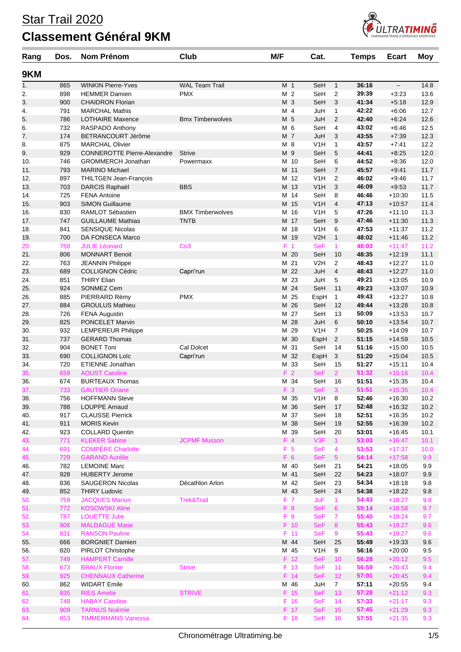## Star Trail 2020

## **Classement Général 9KM**



| Rang       | Dos.       | <b>Nom Prénom</b>                                | Club                    | M/F            |                | Cat.              |                       | <b>Temps</b>   | <b>Ecart</b>             | <b>Moy</b>   |
|------------|------------|--------------------------------------------------|-------------------------|----------------|----------------|-------------------|-----------------------|----------------|--------------------------|--------------|
| 9KM        |            |                                                  |                         |                |                |                   |                       |                |                          |              |
| 1.         | 865        | <b>WINKIN Pierre-Yves</b>                        | <b>WAL Team Trail</b>   | M 1            |                | SeH               | $\mathbf{1}$          | 36:16          | $\overline{\phantom{a}}$ | 14.8         |
| 2.         | 898        | <b>HEMMER Damien</b>                             | <b>PMX</b>              | M <sub>2</sub> |                | SeH               | 2                     | 39:39          | $+3:23$                  | 13.6         |
| 3.         | 900        | <b>CHAIDRON Florian</b>                          |                         | M 3            |                | SeH               | 3                     | 41:34          | $+5:18$                  | 12.9         |
| 4.         | 791        | <b>MARCHAL Mathis</b>                            |                         | M 4            |                | JuH               | 1                     | 42:22          | $+6:06$                  | 12.7         |
| 5.         | 786        | <b>LOTHAIRE Maxence</b>                          | <b>Bmx Timberwolves</b> | M 5            |                | JuH               | 2                     | 42:40          | $+6:24$                  | 12.6         |
| 6.         | 732        | RASPADO Anthony                                  |                         | M 6            |                | SeH               | 4                     | 43:02          | $+6:46$                  | 12.5         |
| 7.         | 174<br>875 | BETRANCOURT Jérôme<br><b>MARCHAL Olivier</b>     |                         | M 7<br>M 8     |                | JuH<br>V1H        | 3                     | 43:55<br>43:57 | $+7:39$                  | 12.3<br>12.2 |
| 8.<br>9.   | 929        | <b>CONNEROTTE Pierre-Alexandre</b>               | <b>Strive</b>           | M 9            |                | SeH               | $\mathbf{1}$<br>5     | 44:41          | $+7:41$<br>$+8:25$       | 12.0         |
| 10.        | 746        | <b>GROMMERCH Jonathan</b>                        | Powermaxx               |                | M 10           | SeH               | 6                     | 44:52          | $+8:36$                  | 12.0         |
| 11.        | 793        | <b>MARINO Michael</b>                            |                         |                | M 11           | SeH               | $\overline{7}$        | 45:57          | $+9:41$                  | 11.7         |
| 12.        | 897        | THILTGEN Jean-François                           |                         |                | M 12           | V1H               | 2                     | 46:02          | $+9:46$                  | 11.7         |
| 13.        | 703        | DARCIS Raphaël                                   | <b>BBS</b>              |                | M 13           | V1H               | 3                     | 46:09          | $+9.53$                  | 11.7         |
| 14.        | 725        | <b>FENA Antoine</b>                              |                         | М              | 14             | SeH               | 8                     | 46:46          | $+10:30$                 | 11.5         |
| 15.        | 903        | <b>SIMON Guillaume</b>                           |                         | M              | 15             | V1H               | $\overline{4}$        | 47:13          | $+10:57$                 | 11.4         |
| 16.        | 830        | RAMLOT Sébastien                                 | <b>BMX Timberwolves</b> | м              | 16             | V1H               | 5                     | 47:26          | $+11:10$                 | 11.3         |
| 17.        | 747        | <b>GUILLAUME Mathias</b>                         | <b>TNTB</b>             |                | M 17           | SeH               | 9                     | 47:46          | $+11:30$                 | 11.3         |
| 18.        | 841        | <b>SENSIQUE Nicolas</b>                          |                         |                | M 18           | V1H               | 6                     | 47:53          | $+11:37$                 | 11.2         |
| 19.        | 700        | DA FONSECA Marco                                 |                         |                | M 19           | V2H               | $\mathbf{1}$          | 48:02          | $+11:46$                 | 11.2         |
| 20.<br>21. | 768<br>806 | <b>JULIE Léonard</b><br><b>MONNART Benoit</b>    | Co <sub>3</sub>         |                | F 1<br>M 20    | <b>SeF</b><br>SeH | $\mathbf{1}$<br>10    | 48:03<br>48:35 | $+11:47$<br>$+12:19$     | 11.2<br>11.1 |
| 22.        | 763        | <b>JEANNIN Philippe</b>                          |                         | М              | 21             | V2H               | 2                     | 48:43          | $+12:27$                 | 11.0         |
| 23.        | 689        | <b>COLLIGNON Cédric</b>                          | Capri'run               |                | M 22           | JuH               | 4                     | 48:43          | $+12:27$                 | 11.0         |
| 24.        | 851        | <b>THIRY Elian</b>                               |                         | М              | 23             | JuH               | 5                     | 49:21          | $+13:05$                 | 10.9         |
| 25.        | 924        | <b>SONMEZ Cem</b>                                |                         |                | M 24           | SeH               | 11                    | 49:23          | $+13:07$                 | 10.9         |
| 26.        | 885        | PIERRARD Rémy                                    | <b>PMX</b>              | м              | 25             | EspH              | $\mathbf{1}$          | 49:43          | $+13:27$                 | 10.8         |
| 27.        | 884        | <b>GROULUS Mathieu</b>                           |                         | М              | 26             | SeH               | 12                    | 49:44          | $+13:28$                 | 10.8         |
| 28.        | 726        | <b>FENA Augustin</b>                             |                         | М              | 27             | SeH               | 13                    | 50:09          | $+13:53$                 | 10.7         |
| 29.        | 825        | <b>PONCELET Marvin</b>                           |                         | М              | 28             | JuH               | 6                     | 50:10          | $+13:54$                 | 10.7         |
| 30.        | 932        | <b>LEMPEREUR Philippe</b>                        |                         | М              | 29             | V1H               | 7                     | 50:25          | $+14:09$                 | 10.7         |
| 31.        | 737        | <b>GERARD Thomas</b>                             |                         | М              | 30             | EspH              | $\overline{2}$        | 51:15          | $+14.59$                 | 10.5         |
| 32.        | 904        | <b>BONET Toni</b>                                | Cal Dolcet              | М              | 31<br>M 32     | SeH               | 14                    | 51:16          | $+15:00$                 | 10.5         |
| 33.<br>34. | 690<br>720 | <b>COLLIGNON Loïc</b><br><b>ETIENNE Jonathan</b> | Capri'run               |                | M 33           | EspH<br>SeH       | 3<br>15               | 51:20<br>51:27 | $+15:04$<br>$+15.11$     | 10.5<br>10.4 |
| 35.        | 659        | <b>AOUST Caroline</b>                            |                         |                | F <sub>2</sub> | <b>SeF</b>        | $\overline{2}$        | 51:32          | $+15:16$                 | 10.4         |
| 36.        | 674        | <b>BURTEAUX Thomas</b>                           |                         |                | M 34           | SeH               | 16                    | 51:51          | $+15:35$                 | 10.4         |
| 37.        | 733        | <b>GAUTIER Oriane</b>                            |                         | $F_3$          |                | <b>SeF</b>        | 3                     | 51:51          | $+15:35$                 | 10.4         |
| 38.        | 756        | <b>HOFFMANN Steve</b>                            |                         |                | M 35           | V <sub>1</sub> H  | $\,8\,$               | 52:46          | $+16:30$                 | 10.2         |
| 39.        | 788        | LOUPPE Arnaud                                    |                         |                | M 36           | SeH               | 17                    | 52:48          | $+16:32$                 | 10.2         |
| 40.        | 917        | <b>CLAUSSE Pierrick</b>                          |                         |                | M 37           | SeH               | 18                    | 52:51          | $+16:35$                 | 10.2         |
| 41.        | 911        | <b>MORIS Kevin</b>                               |                         |                | M 38           | SeH               | 19                    | 52:55          | $+16:39$                 | 10.2         |
| 42.        | 923        | <b>COLLARD Quentin</b>                           |                         |                | M 39           | SeH               | 20                    | 53:01          | $+16:45$                 | 10.1         |
| 43.        | 771        | <b>KLEKER Sabine</b>                             | <b>JCPMF Musson</b>     | $F$ 4          |                | V3F               | $\mathbf{1}$          | 53:03          | $+16:47$                 | 10.1         |
| 44.        | 691        | <b>COMPÈRE Charlotte</b>                         |                         | F <sub>5</sub> |                | <b>SeF</b>        | 4                     | 53:53          | $+17:37$                 | 10.0         |
| 45.<br>46. | 729<br>782 | <b>GARAND Aurélie</b><br><b>LEMOINE Marc</b>     |                         | F 6            | M 40           | <b>SeF</b><br>SeH | $5\phantom{.0}$<br>21 | 54:14<br>54:21 | $+17:58$<br>$+18:05$     | 9.9<br>9.9   |
| 47.        | 928        | <b>HUBERTY Jerome</b>                            |                         |                | M 41           | SeH               | 22                    | 54:23          | $+18:07$                 | 9.9          |
| 48.        | 836        | <b>SAUGERON Nicolas</b>                          | Décathlon Arlon         |                | M 42           | SeH               | 23                    | 54:34          | $+18:18$                 | 9.8          |
| 49.        | 852        | <b>THIRY Ludovic</b>                             |                         |                | M 43           | SeH               | 24                    | 54:38          | $+18:22$                 | 9.8          |
| 50.        | 759        | <b>JACQUES Marion</b>                            | <b>Trek&amp;Trail</b>   | F 7            |                | <b>JuF</b>        | $\mathbf{1}$          | 54:43          | $+18:27$                 | 9.8          |
| 51.        | 772        | <b>KOSOWSKI Aline</b>                            |                         | F 8            |                | <b>SeF</b>        | 6                     | 55:14          | $+18:58$                 | 9.7          |
| 52.        | 787        | <b>LOUETTE Julie</b>                             |                         | F 9            |                | <b>SeF</b>        | $\overline{7}$        | 55:40          | $+19:24$                 | 9.7          |
| 53.        | 906        | <b>MALDAGUE Marie</b>                            |                         |                | F 10           | <b>SeF</b>        | 8                     | 55:43          | $+19:27$                 | 9.6          |
| 54.        | 831        | <b>RANSON Pauline</b>                            |                         |                | $F$ 11         | <b>SeF</b>        | 9                     | 55:43          | $+19:27$                 | 9.6          |
| 55.        | 666        | <b>BORGNIET Damien</b>                           |                         |                | M 44           | SeH               | 25                    | 55:49          | $+19:33$                 | 9.6          |
| 56.        | 820        | PIRLOT Christophe                                |                         |                | M 45           | V <sub>1</sub> H  | 9                     | 56:16          | $+20:00$                 | 9.5          |
| 57.        | 749        | <b>HAMPERT Camille</b>                           |                         |                | F 12           | <b>SeF</b>        | 10                    | 56:28          | $+20:12$                 | 9.5          |
| 58.        | 673        | <b>BRAUX Florine</b>                             | <b>Strive</b>           |                | F 13<br>F 14   | <b>SeF</b>        | 11                    | 56:59<br>57:01 | $+20:43$                 | 9.4          |
| 59.<br>60. | 925<br>862 | <b>CHENNAUX Catherine</b><br><b>WIDART Emile</b> |                         |                | M 46           | <b>SeF</b><br>JuH | 12<br>$\overline{7}$  | 57:11          | $+20:45$<br>$+20:55$     | 9.4<br>9.4   |
| 61.        | 835        | <b>RIES Amelie</b>                               | <b>STRIVE</b>           |                | F 15           | <b>SeF</b>        | 13                    | 57:28          | $+21:12$                 | 9.3          |
| 62.        | 748        | <b>HABAY Caroline</b>                            |                         |                | F 16           | <b>SeF</b>        | 14                    | 57:33          | $+21:17$                 | 9.3          |
| 63.        | 909        | <b>TARNUS Noémie</b>                             |                         |                | F 17           | <b>SeF</b>        | 15 <sub>15</sub>      | 57:45          | $+21:29$                 | 9.3          |
| 64.        | 853        | <b>TIMMERMANS Vanessa</b>                        |                         |                | F 18           | <b>SeF</b>        | 16                    | 57:51          | $+21:35$                 | 9.3          |
|            |            |                                                  |                         |                |                |                   |                       |                |                          |              |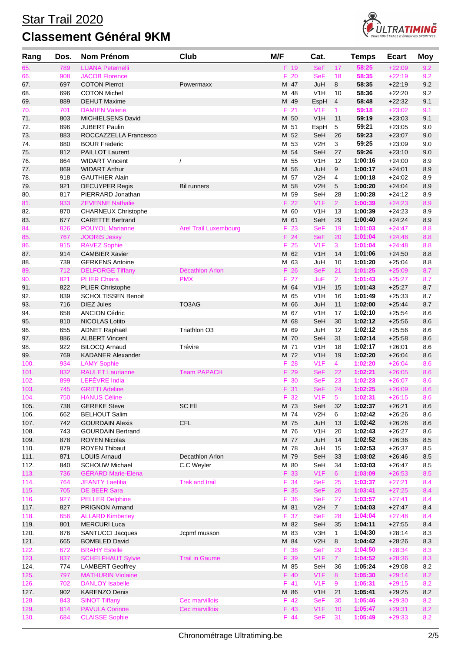

| Rang | Dos. | Nom Prénom                 | Club                         | M/F  | Cat.             |                  | <b>Temps</b> | <b>Ecart</b> | <b>Moy</b> |
|------|------|----------------------------|------------------------------|------|------------------|------------------|--------------|--------------|------------|
| 65.  | 789  | <b>LUANA Peternelli</b>    |                              | F 19 | <b>SeF</b>       | 17               | 58:25        | $+22:09$     | 9.2        |
| 66.  | 908  | <b>JACOB Florence</b>      |                              | F.   | 20<br><b>SeF</b> | 18               | 58:35        | $+22:19$     | 9.2        |
| 67.  | 697  | <b>COTON Pierrot</b>       | Powermaxx                    | M 47 | JuH              | 8                | 58:35        | $+22:19$     | 9.2        |
| 68.  | 696  | <b>COTON Michel</b>        |                              | M 48 | V1H              | 10               | 58:36        | $+22:20$     | 9.2        |
| 69.  | 889  | <b>DEHUT Maxime</b>        |                              | M 49 | EspH             | 4                | 58:48        | $+22:32$     | 9.1        |
| 70.  | 701  | <b>DAMIEN Valerie</b>      |                              | F 21 | V1F              | $\mathbf{1}$     | 59:18        | $+23:02$     | 9.1        |
| 71.  | 803  | MICHIELSENS David          |                              | M 50 | V1H              | 11               | 59:19        | $+23:03$     | 9.1        |
| 72.  | 896  | <b>JUBERT Paulin</b>       |                              | M 51 | EspH             | 5                | 59:21        | $+23:05$     | 9.0        |
| 73.  | 883  | ROCCAZZELLA Francesco      |                              | M 52 | SeH              | 26               | 59:23        | $+23.07$     | 9.0        |
| 74.  | 880  | <b>BOUR Frederic</b>       |                              | M 53 | V <sub>2</sub> H | 3                | 59:25        | $+23:09$     | 9.0        |
| 75.  | 812  | <b>PAILLOT Laurent</b>     |                              | M 54 | SeH              | 27               | 59:26        | $+23:10$     | 9.0        |
| 76.  | 864  | <b>WIDART Vincent</b>      | $\overline{1}$               | M    | 55<br>V1H        | 12               | 1:00:16      | $+24:00$     | 8.9        |
| 77.  | 869  | <b>WIDART Arthur</b>       |                              | M 56 | JuH              | 9                | 1:00:17      | $+24:01$     | 8.9        |
| 78.  | 918  | <b>GAUTHIER Alain</b>      |                              | м    | 57<br>V2H        | 4                | 1:00:18      | $+24:02$     | 8.9        |
| 79.  | 921  | <b>DECUYPER Regis</b>      | <b>Bil runners</b>           | M 58 | V2H              | 5                | 1:00:20      | $+24:04$     | 8.9        |
| 80.  | 817  | PIERRARD Jonathan          |                              | M 59 | SeH              | 28               | 1:00:28      | $+24:12$     | 8.9        |
| 81.  | 933  | <b>ZEVENNE Nathalie</b>    |                              | F 22 | V1F              | 2 <sup>2</sup>   | 1:00:39      | $+24:23$     | 8.9        |
| 82.  | 870  | <b>CHARNEUX Christophe</b> |                              | M 60 | V <sub>1</sub> H | 13               | 1:00:39      | $+24.23$     | 8.9        |
| 83.  | 677  | <b>CARETTE Bertrand</b>    |                              | M 61 | SeH              | 29               | 1:00:40      | $+24:24$     | 8.9        |
| 84.  | 826  | <b>POUYOL Marianne</b>     | <b>Arel Trail Luxembourg</b> | F.   | 23<br><b>SeF</b> | 19               | 1:01:03      | $+24:47$     | 8.8        |
| 85.  | 767  | <b>JOORIS Jessy</b>        |                              | F 24 | <b>SeF</b>       | 20               | 1:01:04      | $+24:48$     | 8.8        |
| 86.  | 915  | <b>RAVEZ Sophie</b>        |                              | F 25 | V <sub>1</sub> F | 3                | 1:01:04      | $+24:48$     | 8.8        |
| 87.  | 914  | <b>CAMBIER Xavier</b>      |                              | M 62 | V1H              | 14               | 1:01:06      | $+24:50$     | 8.8        |
| 88.  | 739  | <b>GERKENS Antoine</b>     |                              | M 63 | JuH              | 10               | 1:01:20      | $+25:04$     | 8.8        |
| 89.  | 712  | <b>DELFORGE Tiffany</b>    | Décathlon Arlon              | F.   | 26<br><b>SeF</b> | 21               | 1:01:25      | $+25:09$     | 8.7        |
| 90.  | 821  | <b>PLIER Chiara</b>        | <b>PMX</b>                   | F.   | 27<br>JuF        | $\overline{2}$   | 1:01:43      | $+25:27$     | 8.7        |
| 91.  | 822  | <b>PLIER Christophe</b>    |                              | M 64 | V1H              | 15               | 1:01:43      | $+25:27$     | 8.7        |
| 92.  | 839  | <b>SCHOLTISSEN Benoit</b>  |                              | M 65 | V <sub>1</sub> H | 16               | 1:01:49      | $+25:33$     | 8.7        |
| 93.  | 716  | <b>DIEZ Jules</b>          | TO3AG                        | M 66 | JuH              | 11               | 1:02:00      | $+25:44$     | 8.7        |
| 94.  | 658  | <b>ANCION Cédric</b>       |                              | м    | 67<br>V1H        | 17               | 1:02:10      | $+25.54$     | 8.6        |
| 95.  | 810  | <b>NICOLAS Lotito</b>      |                              | M 68 | SeH              | 30               | 1:02:12      | $+25:56$     | 8.6        |
| 96.  | 655  | <b>ADNET Raphaël</b>       | Triathlon O3                 | M 69 | JuH              | 12               | 1:02:12      | $+25:56$     | 8.6        |
| 97.  | 886  | <b>ALBERT Vincent</b>      |                              | M 70 | SeH              | 31               | 1:02:14      | $+25:58$     | 8.6        |
| 98.  | 922  | <b>BILOCQ Arnaud</b>       | Trévire                      | M 71 | V1H              | 18               | 1:02:17      | $+26:01$     | 8.6        |
| 99.  | 769  | <b>KADANER Alexander</b>   |                              | M 72 | V1H              | 19               | 1:02:20      | $+26.04$     | 8.6        |
| 100. | 934  | <b>LAMY Sophie</b>         |                              | F.   | 28<br>V1F        | 4                | 1:02:20      | $+26:04$     | 8.6        |
| 101. | 832  | <b>RAULET Laurianne</b>    | <b>Team PAPACH</b>           | F 29 | <b>SeF</b>       | 22               | 1:02:21      | $+26:05$     | 8.6        |
| 102. | 899  | LEFÈVRE India              |                              | F 30 | <b>SeF</b>       | 23               | 1:02:23      | $+26:07$     | 8.6        |
| 103. | 745  | <b>GRITTI Adeline</b>      |                              | F 31 | <b>SeF</b>       | 24               | 1:02:25      | $+26:09$     | 8.6        |
| 104. | 750  | <b>HANUS Céline</b>        |                              | F 32 | V <sub>1</sub> F | 5                | 1:02:31      | $+26:15$     | 8.6        |
| 105. | 738  | <b>GEREKE Steve</b>        | SC Ell                       | M 73 | SeH              | 32               | 1:02:37      | $+26:21$     | 8.6        |
| 106. | 662  | <b>BELHOUT Salim</b>       |                              | M 74 | V2H              | 6                | 1:02:42      | $+26:26$     | 8.6        |
| 107. | 742  | <b>GOURDAIN Alexis</b>     | <b>CFL</b>                   | M 75 | JuH              | 13               | 1:02:42      | $+26:26$     | 8.6        |
| 108. | 743  | <b>GOURDAIN Bertrand</b>   |                              | M 76 | V1H              | 20               | 1:02:43      | $+26:27$     | 8.6        |
| 109. | 878  | <b>ROYEN Nicolas</b>       |                              | M 77 | JuH              | 14               | 1:02:52      | $+26:36$     | 8.5        |
| 110. | 879  | <b>ROYEN Thibaut</b>       |                              | M 78 | JuH              | 15               | 1:02:53      | $+26:37$     | 8.5        |
| 111. | 871  | <b>LOUIS Arnaud</b>        | Decathlon Arlon              | M 79 | SeH              | 33               | 1:03:02      | $+26.46$     | 8.5        |
| 112. | 840  | <b>SCHOUW Michael</b>      | C.C Weyler                   | M 80 | SeH              | 34               | 1:03:03      | $+26:47$     | 8.5        |
| 113. | 736  | <b>GÉRARD Marie-Elena</b>  |                              | F 33 | V1F              | 6 <sup>°</sup>   | 1:03:09      | $+26:53$     | 8.5        |
| 114. | 764  | <b>JEANTY Laetitia</b>     | <b>Trek and trail</b>        | F 34 | <b>SeF</b>       | 25               | 1:03:37      | $+27:21$     | 8.4        |
| 115. | 705  | <b>DE BEER Sara</b>        |                              | F 35 | <b>SeF</b>       | 26               | 1:03:41      | $+27:25$     | 8.4        |
| 116. | 927  | <b>PELLER Delphine</b>     |                              | F 36 | <b>SeF</b>       | 27               | 1:03:57      | $+27:41$     | 8.4        |
| 117. | 827  | <b>PRIGNON Armand</b>      |                              | M 81 | V2H              | $\boldsymbol{7}$ | 1:04:03      | $+27:47$     | 8.4        |
| 118. | 656  | <b>ALLARD Kimberley</b>    |                              | F 37 | <b>SeF</b>       | 28               | 1:04:04      | $+27:48$     | 8.4        |
| 119. | 801  | <b>MERCURI Luca</b>        |                              | M 82 | SeH              | 35               | 1:04:11      | $+27:55$     | 8.4        |
| 120. | 876  | <b>SANTUCCI Jacques</b>    | Jcpmf musson                 | M 83 | V3H              | 1                | 1:04:30      | $+28:14$     | 8.3        |
| 121. | 665  | <b>BOMBLED David</b>       |                              | M 84 | V <sub>2</sub> H | 8                | 1:04:42      | $+28:26$     | 8.3        |
| 122. | 672  | <b>BRAHY Estelle</b>       |                              | F 38 | <b>SeF</b>       | 29               | 1:04:50      | $+28:34$     | 8.3        |
| 123. | 837  | <b>SCHELFHAUT Sylvie</b>   | <b>Trail in Gaume</b>        | F 39 | V1F              | 7 <sup>1</sup>   | 1:04:52      | $+28:36$     | 8.3        |
| 124. | 774  | <b>LAMBERT Geoffrey</b>    |                              | M 85 | SeH              | 36               | 1:05:24      | $+29:08$     | 8.2        |
| 125. | 797  | <b>MATHURIN Violaine</b>   |                              | F 40 | V1F              | 8                | 1:05:30      | $+29:14$     | 8.2        |
| 126. | 702  | <b>DANLOY Isabelle</b>     |                              | F 41 | V1F              | 9                | 1:05:31      | $+29:15$     | 8.2        |
| 127. | 902  | <b>KARENZO Denis</b>       |                              | M 86 | V <sub>1</sub> H | 21               | 1:05:41      | $+29:25$     | 8.2        |
| 128. | 843  | <b>SINOT Tiffany</b>       | Cec marvillois               | F 42 | <b>SeF</b>       | 30               | 1:05:46      | $+29:30$     | 8.2        |
| 129. | 814  | <b>PAVULA Corinne</b>      | Cec marvillois               | F 43 | V1F              | 10               | 1:05:47      | $+29:31$     | 8.2        |
| 130. | 684  | <b>CLAISSE Sophie</b>      |                              | F 44 | <b>SeF</b>       | 31               | 1:05:49      | $+29:33$     | 8.2        |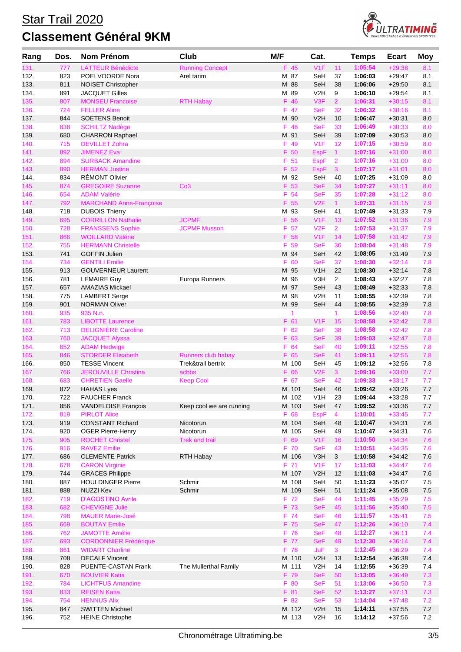## Star Trail 2020 **Classement Général 9KM**



| Rang         | Dos.       | <b>Nom Prénom</b>                                 | Club                     | M/F |              | Cat.                     |                | <b>Temps</b>       | <b>Ecart</b>         | Moy        |
|--------------|------------|---------------------------------------------------|--------------------------|-----|--------------|--------------------------|----------------|--------------------|----------------------|------------|
| 131.         | 777        | <b>LATTEUR Bénédicte</b>                          | <b>Running Concept</b>   |     | F 45         | V1F                      | 11             | 1:05:54            | $+29:38$             | 8.1        |
| 132.         | 823        | POELVOORDE Nora                                   | Arel tarim               |     | M 87         | SeH                      | 37             | 1:06:03            | $+29:47$             | 8.1        |
| 133.         | 811        | <b>NOISET Christopher</b>                         |                          |     | M 88         | SeH                      | 38             | 1:06:06            | $+29.50$             | 8.1        |
| 134.         | 891        | <b>JACQUET Gilles</b>                             |                          |     | M 89         | V <sub>2</sub> H         | 9              | 1:06:10            | $+29:54$             | 8.1        |
| 135.         | 807        | <b>MONSEU Francoise</b>                           | <b>RTH Habay</b>         |     | F 46         | V3F                      | $\overline{2}$ | 1:06:31            | $+30:15$             | 8.1        |
| 136.         | 724        | <b>FELLER Aline</b>                               |                          |     | F 47         | <b>SeF</b>               | 32             | 1:06:32            | $+30:16$             | 8.1        |
| 137.         | 844        | <b>SOETENS Benoit</b>                             |                          |     | M 90         | V2H                      | 10             | 1:06:47            | $+30:31$             | 8.0        |
| 138.         | 838        | <b>SCHILTZ Nadège</b>                             |                          |     | F 48<br>M 91 | <b>SeF</b><br>SeH        | 33             | 1:06:49<br>1:07:09 | $+30:33$             | 8.0        |
| 139.<br>140. | 680<br>715 | <b>CHARRON Raphael</b><br><b>DEVILLET Zohra</b>   |                          | F   | 49           | V <sub>1</sub> F         | 39<br>12       | 1:07:15            | $+30.53$<br>$+30:59$ | 8.0<br>8.0 |
| 141.         | 892        | <b>JIMENEZ Eva</b>                                |                          |     | F 50         | <b>EspF</b>              | $\mathbf{1}$   | 1:07:16            | $+31:00$             | 8.0        |
| 142.         | 894        | <b>SURBACK Amandine</b>                           |                          |     | F 51         | <b>EspF</b>              | $\overline{2}$ | 1:07:16            | $+31:00$             | 8.0        |
| 143.         | 890        | <b>HERMAN Justine</b>                             |                          |     | F 52         | <b>EspF</b>              | $\mathbf{3}$   | 1:07:17            | $+31:01$             | 8.0        |
| 144.         | 834        | <b>RÉMONT Olivier</b>                             |                          |     | M 92         | SeH                      | 40             | 1:07:25            | $+31:09$             | 8.0        |
| 145.         | 874        | <b>GREGOIRE Suzanne</b>                           | Co <sub>3</sub>          |     | F 53         | <b>SeF</b>               | 34             | 1:07:27            | $+31:11$             | 8.0        |
| 146.         | 654        | <b>ADAM Valérie</b>                               |                          | F   | 54           | <b>SeF</b>               | 35             | 1:07:28            | $+31:12$             | 8.0        |
| 147.         | 792        | <b>MARCHAND Anne-Françoise</b>                    |                          |     | F 55         | V2F                      | 1              | 1:07:31            | $+31:15$             | 7.9        |
| 148.         | 718        | <b>DUBOIS Thierry</b>                             |                          |     | M 93         | SeH                      | 41             | 1:07:49            | $+31:33$             | 7.9        |
| 149.         | 695        | <b>CORRILLON Nathalie</b>                         | <b>JCPMF</b>             |     | F 56         | V1F                      | 13             | 1:07:52            | $+31:36$             | 7.9        |
| 150.         | 728        | <b>FRANSSENS Sophie</b>                           | <b>JCPMF Musson</b>      | F.  | 57           | V2F                      | $\overline{2}$ | 1:07:53            | $+31:37$             | 7.9        |
| 151.         | 866        | <b>WOILLARD Valérie</b>                           |                          | F.  | 58           | V1F                      | 14             | 1:07:58            | $+31:42$             | 7.9        |
| 152.         | 755        | <b>HERMANN Christelle</b>                         |                          | F.  | 59           | <b>SeF</b>               | 36             | 1:08:04            | $+31:48$             | 7.9        |
| 153.<br>154. | 741<br>734 | <b>GOFFIN Julien</b><br><b>GENTILI Emilie</b>     |                          | F.  | M 94<br>60   | SeH<br><b>SeF</b>        | 42             | 1:08:05<br>1:08:30 | $+31:49$<br>$+32:14$ | 7.9<br>7.8 |
| 155.         | 913        | <b>GOUVERNEUR Laurent</b>                         |                          |     | M 95         | V1H                      | 37<br>22       | 1:08:30            | $+32:14$             | 7.8        |
| 156.         | 781        | <b>LEMAIRE Guy</b>                                | Europa Runners           | м   | 96           | V3H                      | $\overline{2}$ | 1:08:43            | $+32:27$             | 7.8        |
| 157.         | 657        | <b>AMAZIAS Mickael</b>                            |                          |     | M 97         | SeH                      | 43             | 1:08:49            | $+32:33$             | 7.8        |
| 158.         | 775        | <b>LAMBERT Serge</b>                              |                          |     | M 98         | V <sub>2</sub> H         | 11             | 1:08:55            | $+32:39$             | 7.8        |
| 159.         | 901        | <b>NORMAN Oliver</b>                              |                          |     | M 99         | SeH                      | 44             | 1:08:55            | $+32.39$             | 7.8        |
| 160.         | 935        | 935 N.n.                                          |                          |     | 1            |                          | $\mathbf{1}$   | 1:08:56            | $+32:40$             | 7.8        |
| 161.         | 783        | <b>LIBOTTE Laurence</b>                           |                          |     | F 61         | V1F                      | 15             | 1:08:58            | $+32:42$             | 7.8        |
| 162.         | 713        | <b>DELIGNIÈRE Caroline</b>                        |                          |     | F 62         | <b>SeF</b>               | 38             | 1:08:58            | $+32:42$             | 7.8        |
| 163.         | 760        | <b>JACQUET Alyssa</b>                             |                          |     | F 63         | <b>SeF</b>               | 39             | 1:09:03            | $+32:47$             | 7.8        |
| 164.         | 652        | <b>ADAM Hedwige</b>                               |                          |     | F 64         | <b>SeF</b>               | 40             | 1:09:11            | $+32:55$             | 7.8        |
| 165.         | 846        | <b>STORDER Elisabeth</b>                          | Runners club habay       |     | F 65         | <b>SeF</b>               | 41             | 1:09:11            | $+32:55$             | 7.8        |
| 166.         | 850        | <b>TESSE Vincent</b>                              | Trek&trail bertrix       |     | M 100        | SeH                      | 45             | 1:09:12            | $+32:56$             | 7.8        |
| 167.         | 766        | <b>JEROUVILLE Christina</b>                       | acbbs                    |     | F 66         | V2F                      | 3 <sup>1</sup> | 1:09:16            | $+33:00$             | 7.7        |
| 168.<br>169. | 683<br>872 | <b>CHRETIEN Gaelle</b><br><b>HAHAS Lyes</b>       | <b>Keep Cool</b>         | F   | 67<br>M 101  | <b>SeF</b><br>SeH        | 42<br>46       | 1:09:33<br>1:09:42 | $+33:17$<br>$+33.26$ | 7.7<br>7.7 |
| 170.         | 722        | <b>FAUCHER Franck</b>                             |                          |     | M 102        | V <sub>1</sub> H         | 23             | 1:09:44            | $+33.28$             | 7.7        |
| 171.         | 856        | VANDELOISE François                               | Keep cool we are running |     | M 103        | SeH                      | 47             | 1:09:52            | $+33:36$             | 7.7        |
| 172.         | 819        | <b>PIRLOT Alice</b>                               |                          |     | F 68         | <b>EspF</b>              | $\overline{4}$ | 1:10:01            | $+33:45$             | 7.7        |
| 173.         | 919        | <b>CONSTANT Richard</b>                           | Nicotorun                |     | M 104        | SeH                      | 48             | 1:10:47            | $+34.31$             | $7.6\,$    |
| 174.         | 920        | <b>OGER Pierre-Henry</b>                          | Nicotorun                |     | M 105        | SeH                      | 49             | 1:10:47            | $+34:31$             | 7.6        |
| 175.         | 905        | <b>ROCHET Christel</b>                            | Trek and trail           |     | F 69         | V1F                      | 16             | 1:10:50            | $+34:34$             | 7.6        |
| 176.         | 916        | <b>RAVEZ Emilie</b>                               |                          |     | F 70         | <b>SeF</b>               | 43             | 1:10:51            | $+34:35$             | 7.6        |
| 177.         | 686        | <b>CLEMENTE Patrick</b>                           | RTH Habay                |     | M 106        | V3H                      | 3              | 1:10:58            | $+34:42$             | $7.6\,$    |
| 178.         | 678        | <b>CARON Virginie</b>                             |                          |     | F 71         | V1F                      | 17             | 1:11:03            | $+34:47$             | 7.6        |
| 179.         | 744        | <b>GRACES Philippe</b>                            |                          |     | M 107        | V2H                      | 12             | 1:11:03            | $+34:47$             | 7.6        |
| 180.         | 887        | <b>HOULDINGER Pierre</b>                          | Schmir                   |     | M 108        | SeH                      | 50             | 1:11:23            | $+35:07$             | 7.5        |
| 181.         | 888        | <b>NUZZI Kev</b>                                  | Schmir                   |     | M 109        | SeH                      | 51             | 1:11:24            | $+35:08$             | $7.5\,$    |
| 182.<br>183. | 719<br>682 | <b>D'AGOSTINO Avrile</b><br><b>CHEVIGNE Julie</b> |                          |     | F 72<br>F 73 | <b>SeF</b><br><b>SeF</b> | 44<br>45       | 1:11:45<br>1:11:56 | $+35:29$<br>$+35:40$ | 7.5<br>7.5 |
| 184.         | 798        | <b>MAUER Marie-José</b>                           |                          |     | F 74         | <b>SeF</b>               | 46             | 1:11:57            | $+35:41$             | 7.5        |
| 185.         | 669        | <b>BOUTAY Emilie</b>                              |                          |     | F 75         | <b>SeF</b>               | 47             | 1:12:26            | $+36:10$             | 7.4        |
| 186.         | 762        | <b>JAMOTTE Amélie</b>                             |                          |     | F 76         | <b>SeF</b>               | 48             | 1:12:27            | $+36:11$             | 7.4        |
| 187.         | 693        | <b>CORDONNIER Frédérique</b>                      |                          |     | F 77         | <b>SeF</b>               | 49             | 1:12:30            | $+36:14$             | 7.4        |
| 188.         | 861        | <b>WIDART Charline</b>                            |                          |     | F 78         | <b>JuF</b>               | 3 <sup>1</sup> | 1:12:45            | $+36:29$             | 7.4        |
| 189.         | 708        | <b>DECALF Vincent</b>                             |                          |     | M 110        | V2H                      | 13             | 1:12:54            | $+36:38$             | $7.4$      |
| 190.         | 828        | PUENTE-CASTAN Frank                               | The Mullerthal Family    |     | M 111        | V2H                      | 14             | 1:12:55            | $+36.39$             | 7.4        |
| 191.         | 670        | <b>BOUVIER Katia</b>                              |                          |     | F 79         | <b>SeF</b>               | 50             | 1:13:05            | $+36:49$             | 7.3        |
| 192.         | 784        | <b>LICHTFUS Amandine</b>                          |                          |     | F 80         | <b>SeF</b>               | 51             | 1:13:06            | $+36:50$             | 7.3        |
| 193.         | 833        | <b>REISEN Katia</b>                               |                          |     | F 81         | <b>SeF</b>               | 52             | 1:13:27            | $+37:11$             | 7.3        |
| 194.         | 754        | <b>HENNUS Alix</b>                                |                          |     | F 82         | <b>SeF</b>               | 53             | 1:14:04            | $+37:48$             | 7.2        |
| 195.         | 847        | <b>SWITTEN Michael</b>                            |                          |     | M 112        | V2H                      | 15             | 1:14:11            | $+37:55$             | $7.2\,$    |
| 196.         | 752        | <b>HEINE Christophe</b>                           |                          |     | M 113        | V2H                      | 16             | 1:14:12            | $+37:56$             | 7.2        |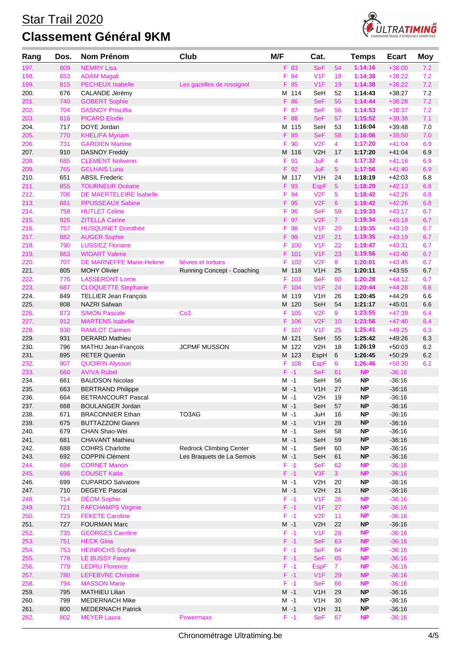

| Rang         | Dos.       | Nom Prénom                                  | Club                           | M/F     | Cat.                |                 | <b>Temps</b>       | <b>Ecart</b>         | Moy        |
|--------------|------------|---------------------------------------------|--------------------------------|---------|---------------------|-----------------|--------------------|----------------------|------------|
| 197.         | 809        | <b>NEMRY Lisa</b>                           |                                | F 83    | <b>SeF</b>          | 54              | 1:14:16            | $+38:00$             | 7.2        |
| 198.         | 653        | <b>ADAM Magali</b>                          |                                | F.      | V1F<br>84           | 18              | 1:14:38            | $+38:22$             | 7.2        |
| 199.         | 815        | <b>PECHEUX Isabelle</b>                     | Les gazelles de rossignol      | F 85    | V1F                 | 19              | 1:14:38            | $+38:22$             | 7.2        |
| 200.         | 676        | CALANDE Jérémy                              |                                | M 114   | SeH                 | 52              | 1:14:43            | $+38:27$             | 7.2        |
| 201.         | 740        | <b>GOBERT Sophie</b>                        |                                | F 86    | <b>SeF</b>          | 55              | 1:14:44            | $+38:28$             | 7.2        |
| 202.         | 704        | <b>DASNOY Priscillia</b>                    |                                | F 87    | <b>SeF</b>          | 56              | 1:14:53            | $+38:37$             | 7.2        |
| 203.         | 816        | <b>PICARD Elodie</b>                        |                                | F 88    | <b>SeF</b>          | 57              | 1:15:52            | $+39:36$             | 7.1        |
| 204.         | 717        | DOYE Jordan                                 |                                | M 115   | SeH                 | 53              | 1:16:04            | $+39.48$             | 7.0        |
| 205.         | 770        | <b>KHELIFA Myriam</b>                       |                                | F 89    | <b>SeF</b>          | 58              | 1:16:06            | $+39:50$             | 7.0        |
| 206.         | 731        | <b>GARDIEN Martine</b>                      |                                | F       | 90<br>V2F           | $\overline{4}$  | 1:17:20            | $+41:04$             | 6.9        |
| 207.         | 910        | <b>DASNOY Freddy</b>                        |                                | M 116   | V <sub>2</sub> H    | 17              | 1:17:20            | $+41:04$             | 6.9        |
| 208.         | 685        | <b>CLEMENT Nolwenn</b>                      |                                | F 91    | JuF                 | 4               | 1:17:32            | $+41:16$             | 6.9        |
| 209.         | 765        | <b>GELHAIS Luna</b>                         |                                | F 92    | JuF                 | 5               | 1:17:56            | $+41:40$             | 6.9        |
| 210.         | 651        | <b>ABSIL Frederic</b>                       |                                | M 117   | V1H                 | 24              | 1:18:19            | $+42:03$             | 6.8        |
| 211.         | 855        | <b>TOURNEUR Océane</b>                      |                                | F 93    | <b>EspF</b>         | $\overline{5}$  | 1:18:29            | $+42:13$             | 6.8        |
| 212.         | 706        | <b>DE MAERTELEIRE Isabelle</b>              |                                | F       | 94<br>V2F           | 5               | 1:18:42            | $+42:26$             | 6.8        |
| 213.         | 881        | <b>RPUSSEAUX Sabine</b>                     |                                | F.      | V2F<br>95           | $6^{\circ}$     | 1:18:42            | $+42:26$             | 6.8        |
| 214.         | 758        | <b>HUTLET Céline</b>                        |                                | F 96    | <b>SeF</b>          | 59              | 1:19:33            | $+43:17$             | 6.7        |
| 215.         | 926        | <b>ZITELLA Carine</b>                       |                                | F 97    | V2F                 | $\mathbf{7}$    | 1:19:34            | $+43:18$             | 6.7        |
| 216.         | 757        | <b>HUSQUINET Dorothée</b>                   |                                | F.      | V1F<br>98           | 20              | 1:19:35            | $+43:19$             | 6.7        |
| 217.         | 882        | <b>AUGER Sophie</b>                         |                                | F.      | 99<br>V1F           | 21              | 1:19:35            | $+43:19$             | 6.7        |
| 218.         | 790        | <b>LUSSIEZ Floriane</b>                     |                                | F       | V1F<br>100          | 22              | 1:19:47            | $+43:31$             | 6.7        |
| 219.         | 863        | <b>WIDART Valerie</b>                       |                                | F 101   | V1F                 | 23              | 1:19:56            | $+43:40$             | 6.7        |
| 220.         | 707        | DE MARNEFFE Marie-Helene                    | liévres et tortues             |         | V2F<br>F 102        | 8               | 1:20:01            | $+43:45$             | 6.7        |
| 221.         | 805        | <b>MOHY Olivier</b>                         | Running Concept - Coaching     | M 118   | V <sub>1</sub> H    | 25              | 1:20:11            | $+43:55$             | 6.7        |
| 222.         | 776        | <b>LASSERONT Lorrie</b>                     |                                |         | F 103<br><b>SeF</b> | 60              | 1:20:28            | $+44:12$             | 6.7        |
| 223.         | 687        | <b>CLOQUETTE Stephanie</b>                  |                                |         | F 104<br>V1F        | 24              | 1:20:44            | $+44:28$             | 6.6        |
| 224.         | 849        | <b>TELLIER Jean François</b>                |                                | M 119   | V1H                 | 26              | 1:20:45            | $+44.29$             | 6.6        |
| 225.         | 808        | NAZRI Safwan                                |                                | M 120   | SeH                 | 54              | 1:21:17            | $+45.01$             | 6.6        |
| 226.         | 873        | <b>SIMON Pascale</b>                        | Co <sub>3</sub>                |         | V2F<br>F 105        | 9               | 1:23:55            | $+47:39$             | 6.4        |
| 227.         | 912        | <b>MARTENS Isabelle</b>                     |                                |         | F 106<br>V2F        | 10 <sup>1</sup> | 1:23:56            | $+47:40$             | 6.4        |
| 228.         | 930<br>931 | <b>RAMLOT Carmen</b>                        |                                | M 121   | V1F<br>F 107        | 25              | 1:25:41            | $+49:25$             | 6.3        |
| 229.<br>230. | 796        | <b>DERARD Mathieu</b>                       | <b>JCPMF MUSSON</b>            | M 122   | SeH<br>V2H          | 55<br>18        | 1:25:42<br>1:26:19 | $+49:26$<br>$+50:03$ | 6.3<br>6.2 |
| 231.         | 895        | MATHU Jean-François<br><b>RETER Quentin</b> |                                | M 123   | EspH                | 6               | 1:26:45            | $+50.29$             | 6.2        |
| 232.         | 907        | <b>QUOIRIN Alysson</b>                      |                                | F 108   | <b>EspF</b>         | 6               | 1:26:46            | $+50:30$             | 6.2        |
| 233.         | 660        | <b>AVIVA Rübel</b>                          |                                | $F - 1$ | <b>SeF</b>          | 61              | <b>NP</b>          | $-36:16$             |            |
| 234.         | 661        | <b>BAUDSON Nicolas</b>                      |                                | M -1    | SeH                 | 56              | ΝP                 | $-36:16$             |            |
| 235.         | 663        | <b>BERTRAND Philippe</b>                    |                                | $M - 1$ | V <sub>1</sub> H    | 27              | <b>NP</b>          | $-36:16$             |            |
| 236.         | 664        | <b>BETRANCOURT Pascal</b>                   |                                | $M - 1$ | V2H                 | 19              | ΝP                 | $-36:16$             |            |
| 237.         | 668        | <b>BOULANGER Jordan</b>                     |                                | $M -1$  | SeH                 | 57              | <b>NP</b>          | $-36:16$             |            |
| 238.         | 671        | <b>BRACONNIER Ethan</b>                     | TO3AG                          | $M -1$  | JuH                 | 16              | <b>NP</b>          | $-36:16$             |            |
| 239.         | 675        | <b>BUTTAZZONI Gianni</b>                    |                                | $M -1$  | V <sub>1</sub> H    | 28              | <b>NP</b>          | $-36:16$             |            |
| 240.         | 679        | CHAN Shao-Wei                               |                                | $M -1$  | SeH                 | 58              | <b>NP</b>          | $-36:16$             |            |
| 241.         | 681        | <b>CHAVANT Mathieu</b>                      |                                | $M - 1$ | SeH                 | 59              | <b>NP</b>          | $-36:16$             |            |
| 242.         | 688        | <b>COHRS Charlotte</b>                      | <b>Redrock Climbing Center</b> | $M -1$  | SeH                 | 60              | <b>NP</b>          | $-36:16$             |            |
| 243.         | 692        | <b>COPPIN Clément</b>                       | Les Braquets de La Semois      | $M -1$  | SeH                 | 61              | <b>NP</b>          | $-36:16$             |            |
| 244.         | 694        | <b>CORNET Manon</b>                         |                                | $F - 1$ | <b>SeF</b>          | 62              | <b>NP</b>          | $-36:16$             |            |
| 245.         | 698        | <b>COUSET Katia</b>                         |                                | $F - 1$ | V3F                 | 3 <sup>1</sup>  | <b>NP</b>          | $-36:16$             |            |
| 246.         | 699        | <b>CUPARDO Salvatore</b>                    |                                | $M -1$  | V <sub>2</sub> H    | 20              | <b>NP</b>          | $-36:16$             |            |
| 247.         | 710        | <b>DEGEYE Pascal</b>                        |                                | $M -1$  | V2H                 | 21              | <b>NP</b>          | $-36:16$             |            |
| 248.         | 714        | <b>DÉOM Sophie</b>                          |                                | $F - 1$ | V1F                 | 26              | <b>NP</b>          | $-36:16$             |            |
| 249.         | 721        | <b>FAFCHAMPS Virginie</b>                   |                                | $F - 1$ | V1F                 | 27              | <b>NP</b>          | $-36:16$             |            |
| 250.         | 723        | <b>FEKETE Caroline</b>                      |                                | $F - 1$ | V2F                 | 11              | <b>NP</b>          | $-36:16$             |            |
| 251.         | 727        | <b>FOURMAN Marc</b>                         |                                | $M - 1$ | V2H                 | 22              | <b>NP</b>          | $-36:16$             |            |
| 252.         | 735        | <b>GEORGES Caroline</b>                     |                                | $F - 1$ | V1F                 | 28              | <b>NP</b>          | $-36:16$             |            |
| 253.         | 751        | <b>HECK Gina</b>                            |                                | $F - 1$ | <b>SeF</b>          | 63              | <b>NP</b>          | $-36:16$             |            |
| 254.         | 753        | <b>HEINRICHS Sophie</b>                     |                                | $F - 1$ | <b>SeF</b>          | 64              | <b>NP</b>          | $-36:16$             |            |
| 255.         | 778        | LE BUSSY Fanny                              |                                | $F - 1$ | <b>SeF</b>          | 65              | NP                 | $-36:16$             |            |
| 256.         | 779        | <b>LEDRU Florence</b>                       |                                | $F - 1$ | <b>EspF</b>         | 7 <sup>7</sup>  | <b>NP</b>          | $-36:16$             |            |
| 257.         | 780        | <b>LEFEBVRE Christine</b>                   |                                | $F - 1$ | V1F                 | 29              | <b>NP</b>          | $-36:16$             |            |
| 258.         | 794        | <b>MASSON Marie</b>                         |                                | $F - 1$ | <b>SeF</b>          | 66              | <b>NP</b>          | $-36:16$             |            |
| 259.         | 795        | <b>MATHIEU Lilian</b>                       |                                | $M -1$  | V1H                 | 29              | <b>NP</b>          | $-36:16$             |            |
| 260.         | 799        | <b>MEDERNACH Mike</b>                       |                                | $M -1$  | V <sub>1</sub> H    | 30              | <b>NP</b>          | $-36:16$             |            |
| 261.         | 800        | <b>MEDERNACH Patrick</b>                    |                                | $M - 1$ | V <sub>1</sub> H    | 31              | <b>NP</b>          | $-36:16$             |            |
| 262.         | 802        | <b>MEYER Laura</b>                          | <b>Powermaxx</b>               | $F - 1$ | <b>SeF</b>          | 67              | <b>NP</b>          | $-36:16$             |            |